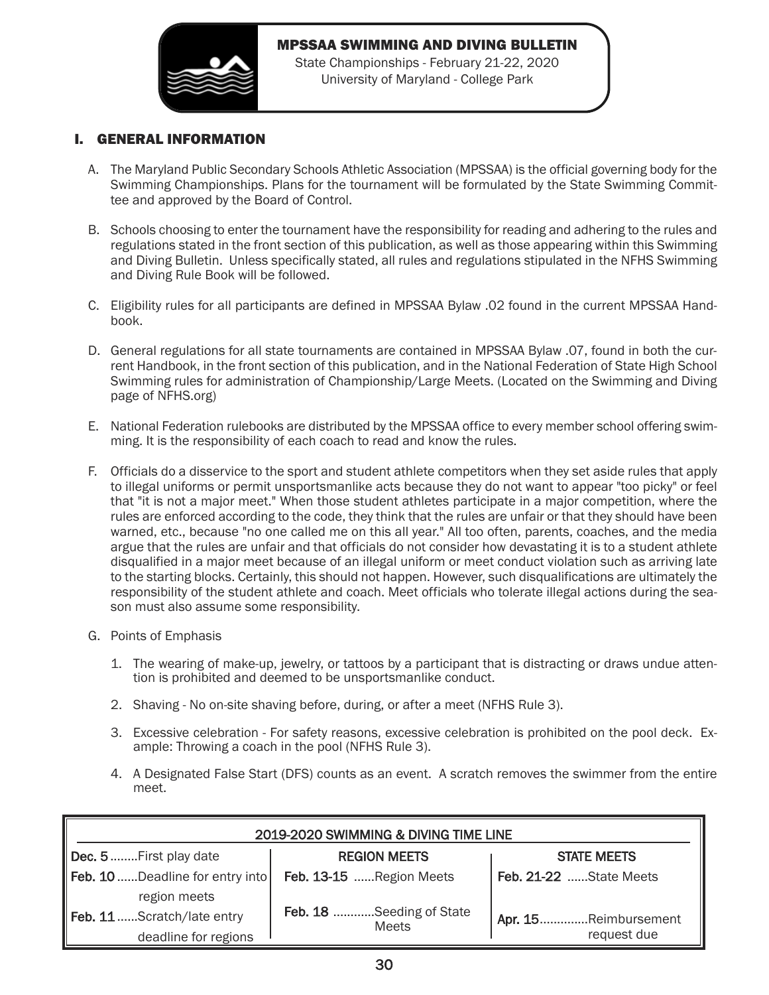

## MPSSAA SWIMMING AND DIVING BULLETIN

State Championships - February 21-22, 2020 University of Maryland - College Park

## I. GENERAL INFORMATION

- A. The Maryland Public Secondary Schools Athletic Association (MPSSAA) is the official governing body for the Swimming Championships. Plans for the tournament will be formulated by the State Swimming Committee and approved by the Board of Control.
- B. Schools choosing to enter the tournament have the responsibility for reading and adhering to the rules and regulations stated in the front section of this publication, as well as those appearing within this Swimming and Diving Bulletin. Unless specifically stated, all rules and regulations stipulated in the NFHS Swimming and Diving Rule Book will be followed.
- C. Eligibility rules for all participants are defined in MPSSAA Bylaw .02 found in the current MPSSAA Handbook.
- D. General regulations for all state tournaments are contained in MPSSAA Bylaw .07, found in both the current Handbook, in the front section of this publication, and in the National Federation of State High School Swimming rules for administration of Championship/Large Meets. (Located on the Swimming and Diving page of NFHS.org)
- E. National Federation rulebooks are distributed by the MPSSAA office to every member school offering swimming. It is the responsibility of each coach to read and know the rules.
- F. Officials do a disservice to the sport and student athlete competitors when they set aside rules that apply to illegal uniforms or permit unsportsmanlike acts because they do not want to appear "too picky" or feel that "it is not a major meet." When those student athletes participate in a major competition, where the rules are enforced according to the code, they think that the rules are unfair or that they should have been warned, etc., because "no one called me on this all year." All too often, parents, coaches, and the media argue that the rules are unfair and that officials do not consider how devastating it is to a student athlete disqualified in a major meet because of an illegal uniform or meet conduct violation such as arriving late to the starting blocks. Certainly, this should not happen. However, such disqualifications are ultimately the responsibility of the student athlete and coach. Meet officials who tolerate illegal actions during the season must also assume some responsibility.
- G. Points of Emphasis
	- 1. The wearing of make-up, jewelry, or tattoos by a participant that is distracting or draws undue attention is prohibited and deemed to be unsportsmanlike conduct.
	- 2. Shaving No on-site shaving before, during, or after a meet (NFHS Rule 3).
	- 3. Excessive celebration For safety reasons, excessive celebration is prohibited on the pool deck. Example: Throwing a coach in the pool (NFHS Rule 3).
	- 4. A Designated False Start (DFS) counts as an event. A scratch removes the swimmer from the entire meet.

| 2019-2020 SWIMMING & DIVING TIME LINE |                                   |                        |  |  |  |  |  |  |
|---------------------------------------|-----------------------------------|------------------------|--|--|--|--|--|--|
| Dec. 5  First play date               | <b>REGION MEETS</b>               | <b>STATE MEETS</b>     |  |  |  |  |  |  |
| Feb. 10  Deadline for entry into      | Feb. 13-15 Region Meets           | Feb. 21-22 State Meets |  |  |  |  |  |  |
| region meets                          |                                   |                        |  |  |  |  |  |  |
| Feb. 11 Scratch/late entry            | Feb. 18 Seeding of State<br>Meets | Apr. 15Reimbursement   |  |  |  |  |  |  |
| deadline for regions                  |                                   | request due            |  |  |  |  |  |  |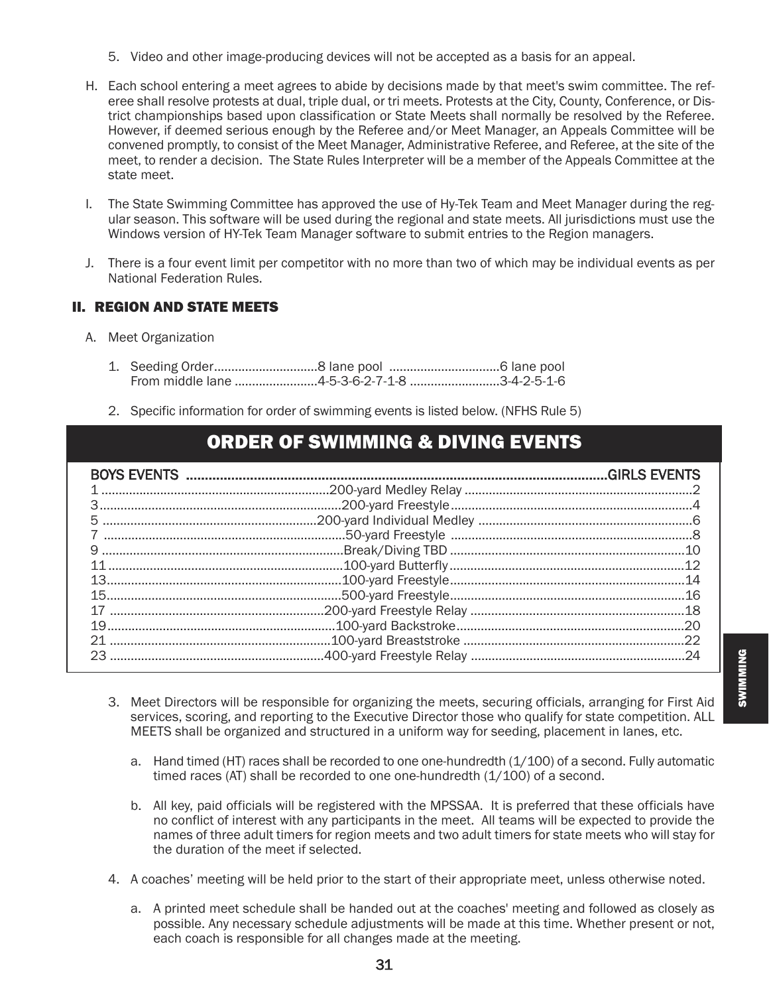- 5. Video and other image-producing devices will not be accepted as a basis for an appeal.
- H. Each school entering a meet agrees to abide by decisions made by that meet's swim committee. The referee shall resolve protests at dual, triple dual, or tri meets. Protests at the City, County, Conference, or District championships based upon classification or State Meets shall normally be resolved by the Referee. However, if deemed serious enough by the Referee and/or Meet Manager, an Appeals Committee will be convened promptly, to consist of the Meet Manager, Administrative Referee, and Referee, at the site of the meet, to render a decision. The State Rules Interpreter will be a member of the Appeals Committee at the state meet.
- I. The State Swimming Committee has approved the use of Hy-Tek Team and Meet Manager during the regular season. This software will be used during the regional and state meets. All jurisdictions must use the Windows version of HY-Tek Team Manager software to submit entries to the Region managers.
- J. There is a four event limit per competitor with no more than two of which may be individual events as per National Federation Rules.

## II. REGION AND STATE MEETS

- A. Meet Organization
	- 1. Seeding Order..............................8 lane pool ................................6 lane pool From middle lane ........................4-5-3-6-2-7-1-8 ..........................3-4-2-5-1-6
	- 2. Specific information for order of swimming events is listed below. (NFHS Rule 5)

# ORDER OF SWIMMING & DIVING EVENTS

- 3. Meet Directors will be responsible for organizing the meets, securing officials, arranging for First Aid services, scoring, and reporting to the Executive Director those who qualify for state competition. ALL MEETS shall be organized and structured in a uniform way for seeding, placement in lanes, etc.
	- a. Hand timed (HT) races shall be recorded to one one-hundredth (1/100) of a second. Fully automatic timed races (AT) shall be recorded to one one-hundredth (1/100) of a second.
	- b. All key, paid officials will be registered with the MPSSAA. It is preferred that these officials have no conflict of interest with any participants in the meet. All teams will be expected to provide the names of three adult timers for region meets and two adult timers for state meets who will stay for the duration of the meet if selected.
- 4. A coaches' meeting will be held prior to the start of their appropriate meet, unless otherwise noted.
	- a. A printed meet schedule shall be handed out at the coaches' meeting and followed as closely as possible. Any necessary schedule adjustments will be made at this time. Whether present or not, each coach is responsible for all changes made at the meeting.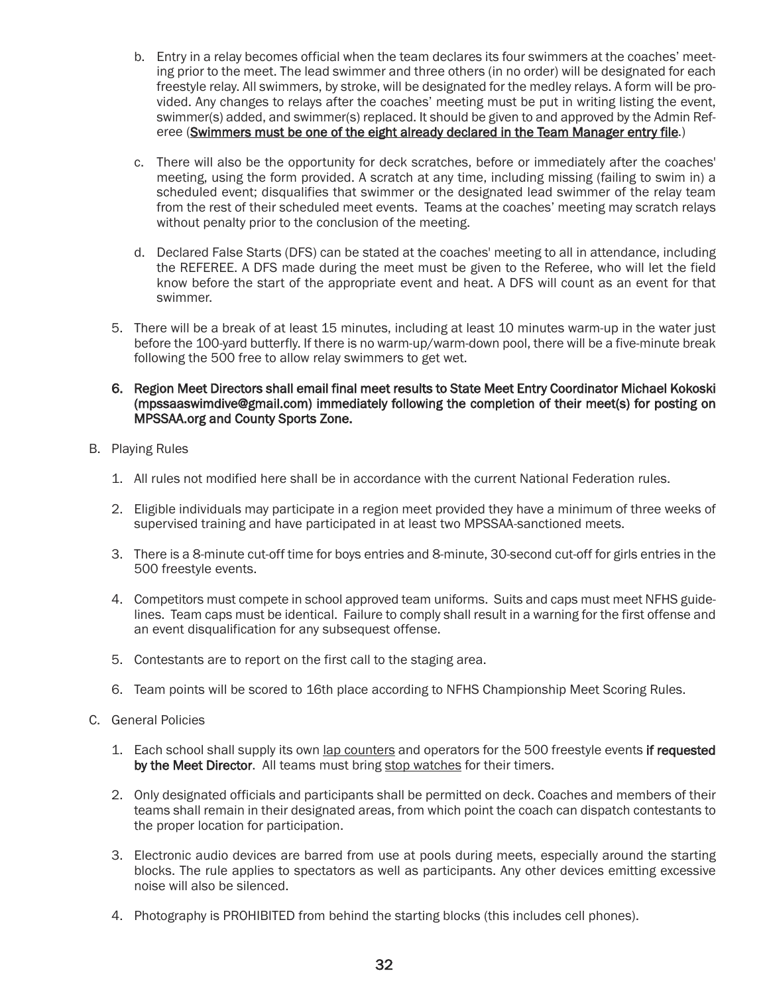- b. Entry in a relay becomes official when the team declares its four swimmers at the coaches' meeting prior to the meet. The lead swimmer and three others (in no order) will be designated for each freestyle relay. All swimmers, by stroke, will be designated for the medley relays. A form will be provided. Any changes to relays after the coaches' meeting must be put in writing listing the event, swimmer(s) added, and swimmer(s) replaced. It should be given to and approved by the Admin Referee (Swimmers must be one of the eight already declared in the Team Manager entry file.)
- c. There will also be the opportunity for deck scratches, before or immediately after the coaches' meeting, using the form provided. A scratch at any time, including missing (failing to swim in) a scheduled event; disqualifies that swimmer or the designated lead swimmer of the relay team from the rest of their scheduled meet events. Teams at the coaches' meeting may scratch relays without penalty prior to the conclusion of the meeting.
- d. Declared False Starts (DFS) can be stated at the coaches' meeting to all in attendance, including the REFEREE. A DFS made during the meet must be given to the Referee, who will let the field know before the start of the appropriate event and heat. A DFS will count as an event for that swimmer.
- 5. There will be a break of at least 15 minutes, including at least 10 minutes warm-up in the water just before the 100-yard butterfly. If there is no warm-up/warm-down pool, there will be a five-minute break following the 500 free to allow relay swimmers to get wet.
- 6. Region Meet Directors shall email final meet results to State Meet Entry Coordinator Michael Kokoski (mpssaaswimdive@gmail.com) immediately following the completion of their meet(s) for posting on MPSSAA.org and County Sports Zone.
- B. Playing Rules
	- 1. All rules not modified here shall be in accordance with the current National Federation rules.
	- 2. Eligible individuals may participate in a region meet provided they have a minimum of three weeks of supervised training and have participated in at least two MPSSAA-sanctioned meets.
	- 3. There is a 8-minute cut-off time for boys entries and 8-minute, 30-second cut-off for girls entries in the 500 freestyle events.
	- 4. Competitors must compete in school approved team uniforms. Suits and caps must meet NFHS guidelines. Team caps must be identical. Failure to comply shall result in a warning for the first offense and an event disqualification for any subsequest offense.
	- 5. Contestants are to report on the first call to the staging area.
	- 6. Team points will be scored to 16th place according to NFHS Championship Meet Scoring Rules.
- C. General Policies
	- 1. Each school shall supply its own lap counters and operators for the 500 freestyle events if requested by the Meet Director. All teams must bring stop watches for their timers.
	- 2. Only designated officials and participants shall be permitted on deck. Coaches and members of their teams shall remain in their designated areas, from which point the coach can dispatch contestants to the proper location for participation.
	- 3. Electronic audio devices are barred from use at pools during meets, especially around the starting blocks. The rule applies to spectators as well as participants. Any other devices emitting excessive noise will also be silenced.
	- 4. Photography is PROHIBITED from behind the starting blocks (this includes cell phones).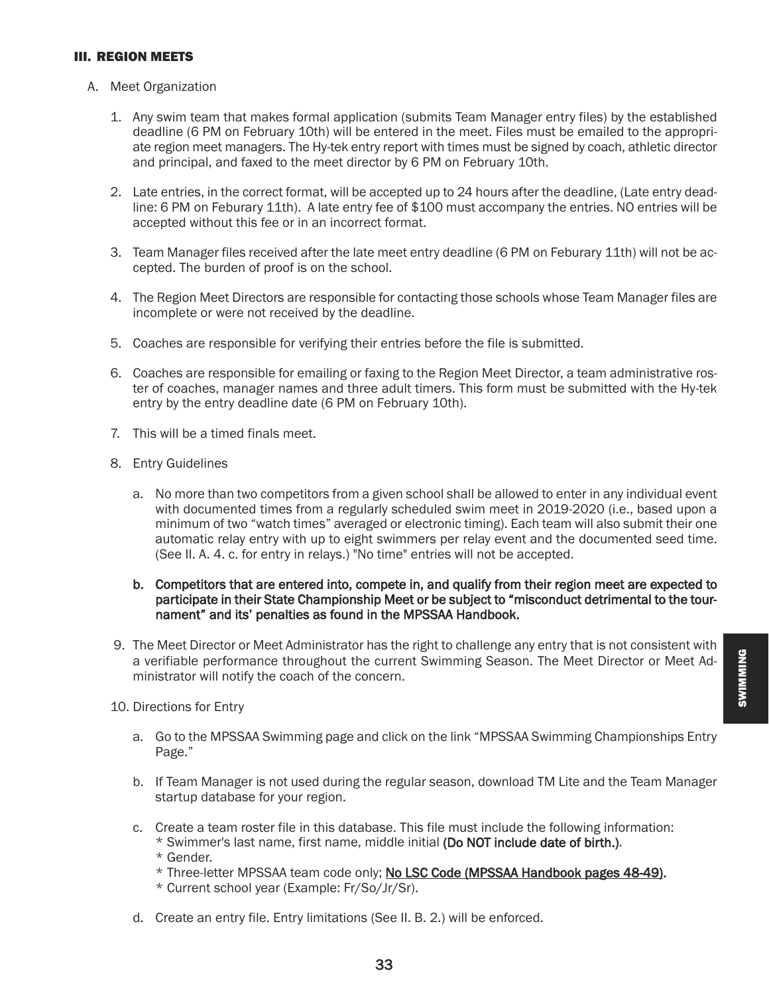#### III. REGION MEETS

- A. Meet Organization
	- 1. Any swim team that makes formal application (submits Team Manager entry files) by the established deadline (6 PM on February 10th) will be entered in the meet. Files must be emailed to the appropriate region meet managers. The Hy-tek entry report with times must be signed by coach, athletic director and principal, and faxed to the meet director by 6 PM on February 10th.
	- 2. Late entries, in the correct format, will be accepted up to 24 hours after the deadline, (Late entry deadline: 6 PM on Feburary 11th). A late entry fee of \$100 must accompany the entries. NO entries will be accepted without this fee or in an incorrect format.
	- 3. Team Manager files received after the late meet entry deadline (6 PM on Feburary 11th) will not be accepted. The burden of proof is on the school.
	- 4. The Region Meet Directors are responsible for contacting those schools whose Team Manager files are incomplete or were not received by the deadline.
	- 5. Coaches are responsible for verifying their entries before the file is submitted.
	- 6. Coaches are responsible for emailing or faxing to the Region Meet Director, a team administrative roster of coaches, manager names and three adult timers. This form must be submitted with the Hy-tek entry by the entry deadline date (6 PM on February 10th).
	- 7. This will be a timed finals meet.
	- 8. Entry Guidelines
		- a. No more than two competitors from a given school shall be allowed to enter in any individual event with documented times from a regularly scheduled swim meet in 2019-2020 (i.e., based upon a minimum of two "watch times" averaged or electronic timing). Each team will also submit their one automatic relay entry with up to eight swimmers per relay event and the documented seed time. (See II. A. 4. c. for entry in relays.) "No time" entries will not be accepted.

#### b. Competitors that are entered into, compete in, and qualify from their region meet are expected to participate in their State Championship Meet or be subject to "misconduct detrimental to the tournament" and its' penalties as found in the MPSSAA Handbook.

- 9. The Meet Director or Meet Administrator has the right to challenge any entry that is not consistent with a verifiable performance throughout the current Swimming Season. The Meet Director or Meet Administrator will notify the coach of the concern.
- 10. Directions for Entry
	- a. Go to the MPSSAA Swimming page and click on the link "MPSSAA Swimming Championships Entry Page."
	- b. If Team Manager is not used during the regular season, download TM Lite and the Team Manager startup database for your region.
	- c. Create a team roster file in this database. This file must include the following information: \* Swimmer's last name, first name, middle initial (Do NOT include date of birth.). \* Gender.
		- \* Three-letter MPSSAA team code only; No LSC Code (MPSSAA Handbook pages 48-49).
		- \* Current school year (Example: Fr/So/Jr/Sr).
	- d. Create an entry file. Entry limitations (See II. B. 2.) will be enforced.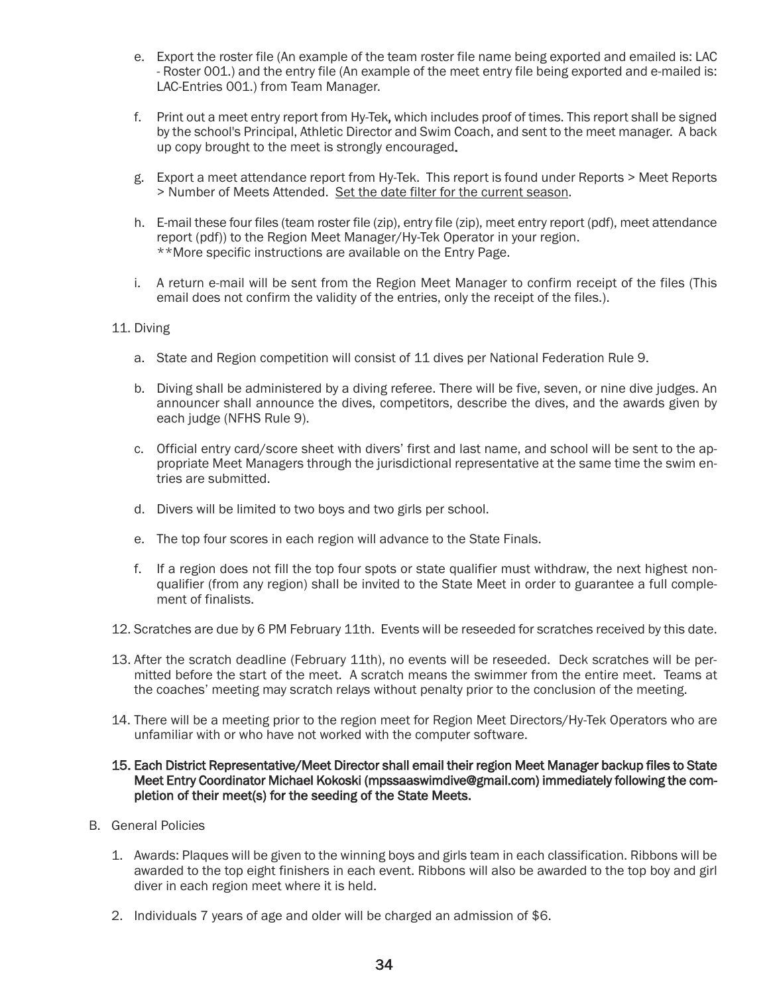- e. Export the roster file (An example of the team roster file name being exported and emailed is: LAC - Roster 001.) and the entry file (An example of the meet entry file being exported and e-mailed is: LAC-Entries 001.) from Team Manager.
- f. Print out a meet entry report from Hy-Tek, which includes proof of times. This report shall be signed by the school's Principal, Athletic Director and Swim Coach, and sent to the meet manager. A back up copy brought to the meet is strongly encouraged.
- g. Export a meet attendance report from Hy-Tek. This report is found under Reports > Meet Reports > Number of Meets Attended. Set the date filter for the current season.
- h. E-mail these four files (team roster file (zip), entry file (zip), meet entry report (pdf), meet attendance report (pdf)) to the Region Meet Manager/Hy-Tek Operator in your region. \*\*More specific instructions are available on the Entry Page.
- i. A return e-mail will be sent from the Region Meet Manager to confirm receipt of the files (This email does not confirm the validity of the entries, only the receipt of the files.).

#### 11. Diving

- a. State and Region competition will consist of 11 dives per National Federation Rule 9.
- b. Diving shall be administered by a diving referee. There will be five, seven, or nine dive judges. An announcer shall announce the dives, competitors, describe the dives, and the awards given by each judge (NFHS Rule 9).
- c. Official entry card/score sheet with divers' first and last name, and school will be sent to the appropriate Meet Managers through the jurisdictional representative at the same time the swim entries are submitted.
- d. Divers will be limited to two boys and two girls per school.
- e. The top four scores in each region will advance to the State Finals.
- f. If a region does not fill the top four spots or state qualifier must withdraw, the next highest nonqualifier (from any region) shall be invited to the State Meet in order to guarantee a full complement of finalists.
- 12. Scratches are due by 6 PM February 11th. Events will be reseeded for scratches received by this date.
- 13. After the scratch deadline (February 11th), no events will be reseeded. Deck scratches will be permitted before the start of the meet. A scratch means the swimmer from the entire meet. Teams at the coaches' meeting may scratch relays without penalty prior to the conclusion of the meeting.
- 14. There will be a meeting prior to the region meet for Region Meet Directors/Hy-Tek Operators who are unfamiliar with or who have not worked with the computer software.

#### 15. Each District Representative/Meet Director shall email their region Meet Manager backup files to State Meet Entry Coordinator Michael Kokoski (mpssaaswimdive@gmail.com) immediately following the completion of their meet(s) for the seeding of the State Meets.

- B. General Policies
	- 1. Awards: Plaques will be given to the winning boys and girls team in each classification. Ribbons will be awarded to the top eight finishers in each event. Ribbons will also be awarded to the top boy and girl diver in each region meet where it is held.
	- 2. Individuals 7 years of age and older will be charged an admission of \$6.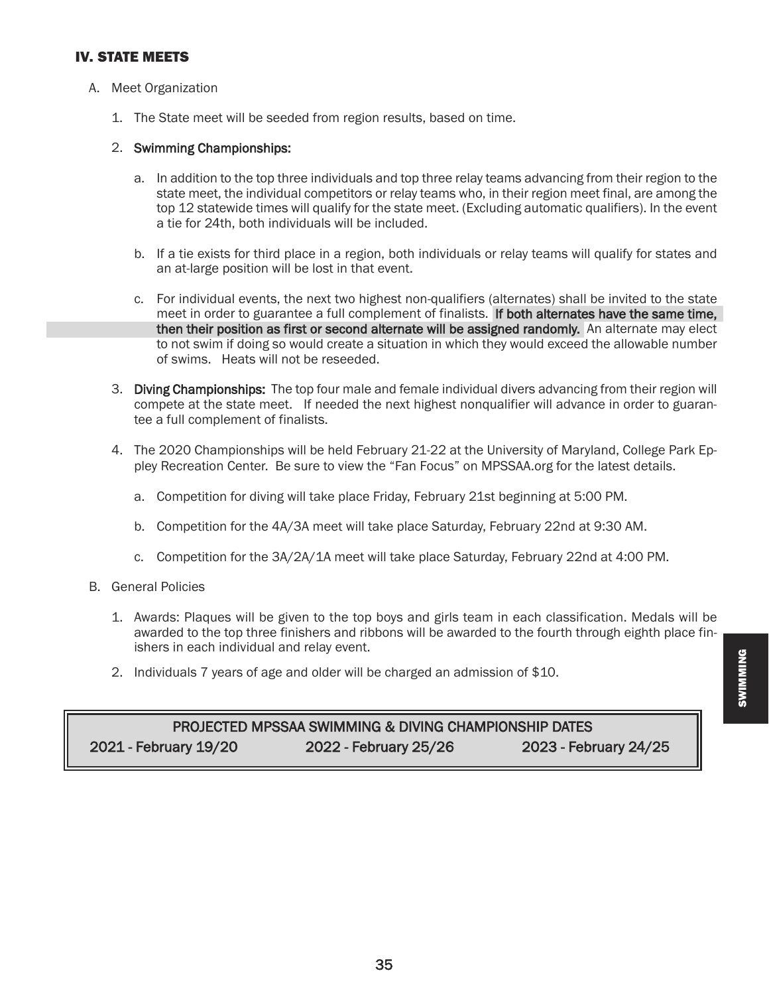## IV. STATE MEETS

- A. Meet Organization
	- 1. The State meet will be seeded from region results, based on time.

#### 2. Swimming Championships:

- a. In addition to the top three individuals and top three relay teams advancing from their region to the state meet, the individual competitors or relay teams who, in their region meet final, are among the top 12 statewide times will qualify for the state meet. (Excluding automatic qualifiers). In the event a tie for 24th, both individuals will be included.
- b. If a tie exists for third place in a region, both individuals or relay teams will qualify for states and an at-large position will be lost in that event.
- c. For individual events, the next two highest non-qualifiers (alternates) shall be invited to the state meet in order to guarantee a full complement of finalists. If both alternates have the same time, then their position as first or second alternate will be assigned randomly. An alternate may elect to not swim if doing so would create a situation in which they would exceed the allowable number of swims. Heats will not be reseeded.
- 3. Diving Championships: The top four male and female individual divers advancing from their region will compete at the state meet. If needed the next highest nonqualifier will advance in order to guarantee a full complement of finalists.
- 4. The 2020 Championships will be held February 21-22 at the University of Maryland, College Park Eppley Recreation Center. Be sure to view the "Fan Focus" on MPSSAA.org for the latest details.
	- a. Competition for diving will take place Friday, February 21st beginning at 5:00 PM.
	- b. Competition for the 4A/3A meet will take place Saturday, February 22nd at 9:30 AM.
	- c. Competition for the 3A/2A/1A meet will take place Saturday, February 22nd at 4:00 PM.
- B. General Policies
	- 1. Awards: Plaques will be given to the top boys and girls team in each classification. Medals will be awarded to the top three finishers and ribbons will be awarded to the fourth through eighth place finishers in each individual and relay event.
	- 2. Individuals 7 years of age and older will be charged an admission of \$10.

# PROJECTED MPSSAA SWIMMING & DIVING CHAMPIONSHIP DATES 2021 - February 19/20 2022 - February 25/26 2023 - February 24/25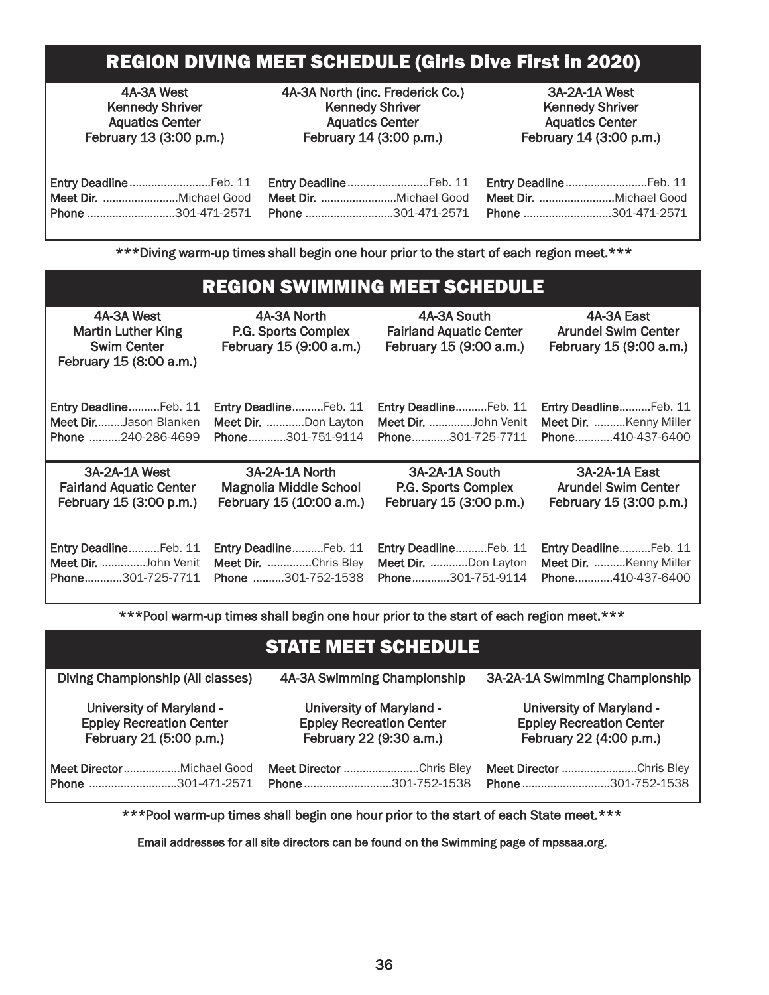# REGION DIVING MEET SCHEDULE (Girls Dive First in 2020)

4A-3A West Kennedy Shriver Aquatics Center February 13 (3:00 p.m.) 4A-3A North (inc. Frederick Co.) Kennedy Shriver Aquatics Center February 14 (3:00 p.m.)

3A-2A-1A West Kennedy Shriver Aquatics Center February 14 (3:00 p.m.)

|  |  | Entry DeadlineFeb. 11 Entry DeadlineFeb. 11 Entry DeadlineFeb. 11                            |
|--|--|----------------------------------------------------------------------------------------------|
|  |  | Meet Dir. ……………………Michael Good Meet Dir. ……………………Michael Good Meet Dir. ……………………Michael Good |
|  |  |                                                                                              |

\*\*\*Diving warm-up times shall begin one hour prior to the start of each region meet.\*\*\*

|                                                                                          | <b>REGION SWIMMING MEET SCHEDULE</b>                          |                                                                          |                                                                     |
|------------------------------------------------------------------------------------------|---------------------------------------------------------------|--------------------------------------------------------------------------|---------------------------------------------------------------------|
| 4A-3A West<br><b>Martin Luther King</b><br><b>Swim Center</b><br>February 15 (8:00 a.m.) | 4A-3A North<br>P.G. Sports Complex<br>February 15 (9:00 a.m.) | 4A-3A South<br><b>Fairland Aquatic Center</b><br>February 15 (9:00 a.m.) | 4A-3A East<br><b>Arundel Swim Center</b><br>February 15 (9:00 a.m.) |
| Entry DeadlineFeb. 11                                                                    | Entry DeadlineFeb. 11                                         | Entry DeadlineFeb. 11                                                    | Entry DeadlineFeb. 11                                               |
| <b>Meet DirJason Blanken</b>                                                             | Meet Dir. Don Layton                                          | Meet Dir. John Venit                                                     | Meet Dir. Kenny Miller                                              |
| Phone 240-286-4699                                                                       | Phone301-751-9114                                             | Phone301-725-7711                                                        | Phone410-437-6400                                                   |
| 3A-2A-1A West                                                                            | 3A-2A-1A North                                                | 3A-2A-1A South                                                           | 3A-2A-1A East                                                       |
| <b>Fairland Aquatic Center</b>                                                           | <b>Magnolia Middle School</b>                                 | P.G. Sports Complex                                                      | <b>Arundel Swim Center</b>                                          |
| February 15 (3:00 p.m.)                                                                  | February 15 (10:00 a.m.)                                      | February 15 (3:00 p.m.)                                                  | February 15 (3:00 p.m.)                                             |
| Entry DeadlineFeb. 11                                                                    | Entry DeadlineFeb. 11                                         | Entry DeadlineFeb. 11                                                    | Entry DeadlineFeb. 11                                               |
| Meet Dir. John Venit                                                                     | Meet Dir. Chris Bley                                          | Meet Dir. Don Layton                                                     | Meet Dir. Kenny Miller                                              |

\*\*\*Pool warm-up times shall begin one hour prior to the start of each region meet.\*\*\*

Phone............301-725-7711 Phone ..........301-752-1538 Phone............301-751-9114 Phone............410-437-6400

|                                   | <b>STATE MEET SCHEDULE</b>      |                                 |  |  |
|-----------------------------------|---------------------------------|---------------------------------|--|--|
| Diving Championship (All classes) | 4A-3A Swimming Championship     | 3A-2A-1A Swimming Championship  |  |  |
| <b>University of Maryland -</b>   | <b>University of Maryland -</b> | <b>University of Maryland -</b> |  |  |
| <b>Eppley Recreation Center</b>   | <b>Eppley Recreation Center</b> | <b>Eppley Recreation Center</b> |  |  |
| February 21 (5:00 p.m.)           | February 22 (9:30 a.m.)         | February 22 (4:00 p.m.)         |  |  |
|                                   | Meet Director Chris Bley        | Meet Director Chris Bley        |  |  |
| Phone 301-471-2571                | Phone 301-752-1538              | Phone301-752-1538               |  |  |

\*\*\*Pool warm-up times shall begin one hour prior to the start of each State meet.\*\*\*

Email addresses for all site directors can be found on the Swimming page of mpssaa.org.